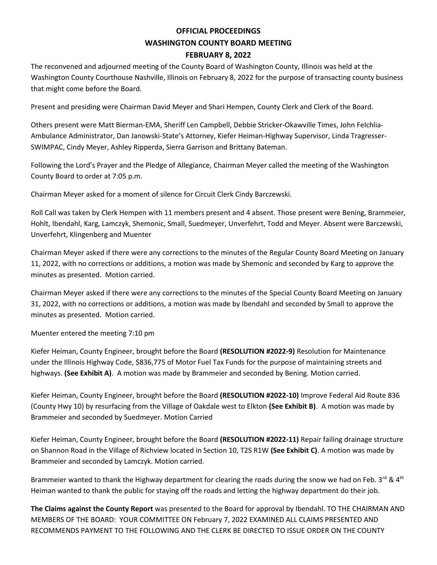## **OFFICIAL PROCEEDINGS WASHINGTON COUNTY BOARD MEETING FEBRUARY 8, 2022**

The reconvened and adjourned meeting of the County Board of Washington County, Illinois was held at the Washington County Courthouse Nashville, Illinois on February 8, 2022 for the purpose of transacting county business that might come before the Board.

Present and presiding were Chairman David Meyer and Shari Hempen, County Clerk and Clerk of the Board.

Others present were Matt Bierman-EMA, Sheriff Len Campbell, Debbie Stricker-Okawville Times, John Felchlia-Ambulance Administrator, Dan Janowski-State's Attorney, Kiefer Heiman-Highway Supervisor, Linda Tragresser-SWIMPAC, Cindy Meyer, Ashley Ripperda, Sierra Garrison and Brittany Bateman.

Following the Lord's Prayer and the Pledge of Allegiance, Chairman Meyer called the meeting of the Washington County Board to order at 7:05 p.m.

Chairman Meyer asked for a moment of silence for Circuit Clerk Cindy Barczewski.

Roll Call was taken by Clerk Hempen with 11 members present and 4 absent. Those present were Bening, Brammeier, Hohlt, Ibendahl, Karg, Lamczyk, Shemonic, Small, Suedmeyer, Unverfehrt, Todd and Meyer. Absent were Barczewski, Unverfehrt, Klingenberg and Muenter

Chairman Meyer asked if there were any corrections to the minutes of the Regular County Board Meeting on January 11, 2022, with no corrections or additions, a motion was made by Shemonic and seconded by Karg to approve the minutes as presented. Motion carried.

Chairman Meyer asked if there were any corrections to the minutes of the Special County Board Meeting on January 31, 2022, with no corrections or additions, a motion was made by Ibendahl and seconded by Small to approve the minutes as presented. Motion carried.

Muenter entered the meeting 7:10 pm

Kiefer Heiman, County Engineer, brought before the Board **(RESOLUTION #2022-9)** Resolution for Maintenance under the Illinois Highway Code, \$836,775 of Motor Fuel Tax Funds for the purpose of maintaining streets and highways. **(See Exhibit A)**. A motion was made by Brammeier and seconded by Bening. Motion carried.

Kiefer Heiman, County Engineer, brought before the Board **(RESOLUTION #2022-10)** Improve Federal Aid Route 836 (County Hwy 10) by resurfacing from the Village of Oakdale west to Elkton **(See Exhibit B)**. A motion was made by Brammeier and seconded by Suedmeyer. Motion Carried

Kiefer Heiman, County Engineer, brought before the Board **(RESOLUTION #2022-11)** Repair failing drainage structure on Shannon Road in the Village of Richview located in Section 10, T2S R1W **(See Exhibit C)**. A motion was made by Brammeier and seconded by Lamczyk. Motion carried.

Brammeier wanted to thank the Highway department for clearing the roads during the snow we had on Feb. 3<sup>rd</sup> & 4<sup>th</sup> Heiman wanted to thank the public for staying off the roads and letting the highway department do their job.

**The Claims against the County Report** was presented to the Board for approval by Ibendahl. TO THE CHAIRMAN AND MEMBERS OF THE BOARD: YOUR COMMITTEE ON February 7, 2022 EXAMINED ALL CLAIMS PRESENTED AND RECOMMENDS PAYMENT TO THE FOLLOWING AND THE CLERK BE DIRECTED TO ISSUE ORDER ON THE COUNTY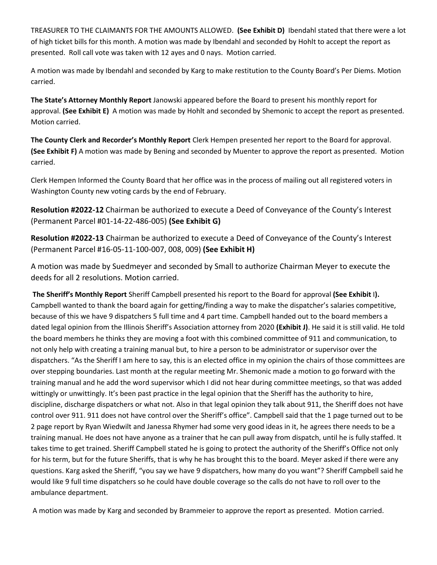TREASURER TO THE CLAIMANTS FOR THE AMOUNTS ALLOWED. **(See Exhibit D)** Ibendahl stated that there were a lot of high ticket bills for this month. A motion was made by Ibendahl and seconded by Hohlt to accept the report as presented. Roll call vote was taken with 12 ayes and 0 nays. Motion carried.

A motion was made by Ibendahl and seconded by Karg to make restitution to the County Board's Per Diems. Motion carried.

**The State's Attorney Monthly Report** Janowski appeared before the Board to present his monthly report for approval. **(See Exhibit E)** A motion was made by Hohlt and seconded by Shemonic to accept the report as presented. Motion carried.

**The County Clerk and Recorder's Monthly Report** Clerk Hempen presented her report to the Board for approval. **(See Exhibit F)** A motion was made by Bening and seconded by Muenter to approve the report as presented. Motion carried.

Clerk Hempen Informed the County Board that her office was in the process of mailing out all registered voters in Washington County new voting cards by the end of February.

**Resolution #2022-12** Chairman be authorized to execute a Deed of Conveyance of the County's Interest (Permanent Parcel #01-14-22-486-005) **(See Exhibit G)**

**Resolution #2022-13** Chairman be authorized to execute a Deed of Conveyance of the County's Interest (Permanent Parcel #16-05-11-100-007, 008, 009) **(See Exhibit H)**

A motion was made by Suedmeyer and seconded by Small to authorize Chairman Meyer to execute the deeds for all 2 resolutions. Motion carried.

**The Sheriff's Monthly Report** Sheriff Campbell presented his report to the Board for approval **(See Exhibit** I**).** Campbell wanted to thank the board again for getting/finding a way to make the dispatcher's salaries competitive, because of this we have 9 dispatchers 5 full time and 4 part time. Campbell handed out to the board members a dated legal opinion from the Illinois Sheriff's Association attorney from 2020 **(Exhibit J)**. He said it is still valid. He told the board members he thinks they are moving a foot with this combined committee of 911 and communication, to not only help with creating a training manual but, to hire a person to be administrator or supervisor over the dispatchers. "As the Sheriff I am here to say, this is an elected office in my opinion the chairs of those committees are over stepping boundaries. Last month at the regular meeting Mr. Shemonic made a motion to go forward with the training manual and he add the word supervisor which I did not hear during committee meetings, so that was added wittingly or unwittingly. It's been past practice in the legal opinion that the Sheriff has the authority to hire, discipline, discharge dispatchers or what not. Also in that legal opinion they talk about 911, the Sheriff does not have control over 911. 911 does not have control over the Sheriff's office". Campbell said that the 1 page turned out to be 2 page report by Ryan Wiedwilt and Janessa Rhymer had some very good ideas in it, he agrees there needs to be a training manual. He does not have anyone as a trainer that he can pull away from dispatch, until he is fully staffed. It takes time to get trained. Sheriff Campbell stated he is going to protect the authority of the Sheriff's Office not only for his term, but for the future Sheriffs, that is why he has brought this to the board. Meyer asked if there were any questions. Karg asked the Sheriff, "you say we have 9 dispatchers, how many do you want"? Sheriff Campbell said he would like 9 full time dispatchers so he could have double coverage so the calls do not have to roll over to the ambulance department.

A motion was made by Karg and seconded by Brammeier to approve the report as presented. Motion carried.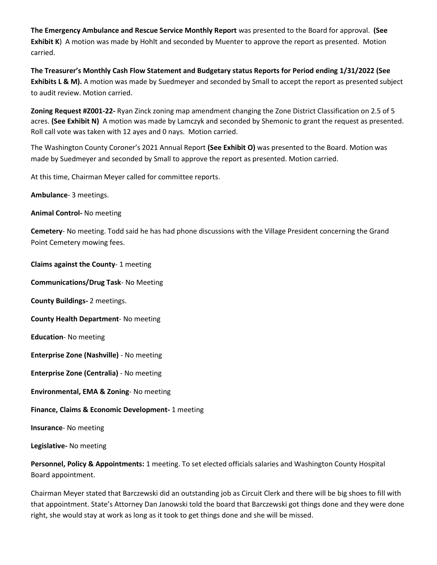**The Emergency Ambulance and Rescue Service Monthly Report** was presented to the Board for approval. **(See Exhibit K**) A motion was made by Hohlt and seconded by Muenter to approve the report as presented. Motion carried.

**The Treasurer's Monthly Cash Flow Statement and Budgetary status Reports for Period ending 1/31/2022 (See Exhibits L & M).** A motion was made by Suedmeyer and seconded by Small to accept the report as presented subject to audit review. Motion carried.

**Zoning Request #Z001-22-** Ryan Zinck zoning map amendment changing the Zone District Classification on 2.5 of 5 acres. **(See Exhibit N)** A motion was made by Lamczyk and seconded by Shemonic to grant the request as presented. Roll call vote was taken with 12 ayes and 0 nays. Motion carried.

The Washington County Coroner's 2021 Annual Report **(See Exhibit O)** was presented to the Board. Motion was made by Suedmeyer and seconded by Small to approve the report as presented. Motion carried.

At this time, Chairman Meyer called for committee reports.

**Ambulance**- 3 meetings.

**Animal Control-** No meeting

**Cemetery**- No meeting. Todd said he has had phone discussions with the Village President concerning the Grand Point Cemetery mowing fees.

**Claims against the County**- 1 meeting

**Communications/Drug Task**- No Meeting

**County Buildings-** 2 meetings.

**County Health Department**- No meeting

**Education**- No meeting

**Enterprise Zone (Nashville)** - No meeting

**Enterprise Zone (Centralia)** - No meeting

**Environmental, EMA & Zoning**- No meeting

**Finance, Claims & Economic Development-** 1 meeting

**Insurance**- No meeting

**Legislative-** No meeting

**Personnel, Policy & Appointments:** 1 meeting. To set elected officials salaries and Washington County Hospital Board appointment.

Chairman Meyer stated that Barczewski did an outstanding job as Circuit Clerk and there will be big shoes to fill with that appointment. State's Attorney Dan Janowski told the board that Barczewski got things done and they were done right, she would stay at work as long as it took to get things done and she will be missed.